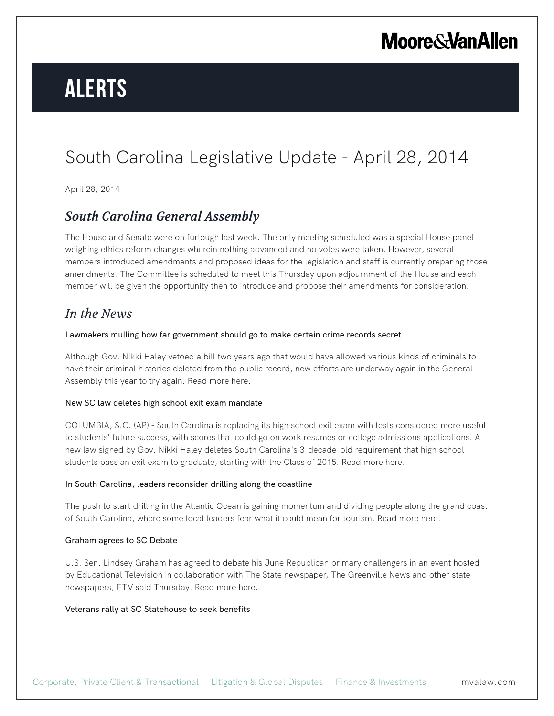# **Alerts**

## South Carolina Legislative Update - April 28, 2014

April 28, 2014

## *South Carolina General Assembly*

The House and Senate were on furlough last week. The only meeting scheduled was a special House panel weighing ethics reform changes wherein nothing advanced and no votes were taken. However, several members introduced amendments and proposed ideas for the legislation and staff is currently preparing those amendments. The Committee is scheduled to meet this Thursday upon adjournment of the House and each member will be given the opportunity then to introduce and propose their amendments for consideration.

## *In the News*

### Lawmakers mulling how far government should go to make certain crime records secret

Although Gov. Nikki Haley vetoed a bill two years ago that would have allowed various kinds of criminals to have their criminal histories deleted from the public record, new efforts are underway again in the General Assembly this year to try again. Read more here.

## New SC law deletes high school exit exam mandate

COLUMBIA, S.C. (AP) - South Carolina is replacing its high school exit exam with tests considered more useful to students' future success, with scores that could go on work resumes or college admissions applications. A new law signed by Gov. Nikki Haley deletes South Carolina's 3-decade-old requirement that high school students pass an exit exam to graduate, starting with the Class of 2015. Read more here.

### In South Carolina, leaders reconsider drilling along the coastline

The push to start drilling in the Atlantic Ocean is gaining momentum and dividing people along the grand coast of South Carolina, where some local leaders fear what it could mean for tourism. Read more here.

### Graham agrees to SC Debate

U.S. Sen. Lindsey Graham has agreed to debate his June Republican primary challengers in an event hosted by Educational Television in collaboration with The State newspaper, The Greenville News and other state newspapers, ETV said Thursday. Read more here.

## Veterans rally at SC Statehouse to seek benefits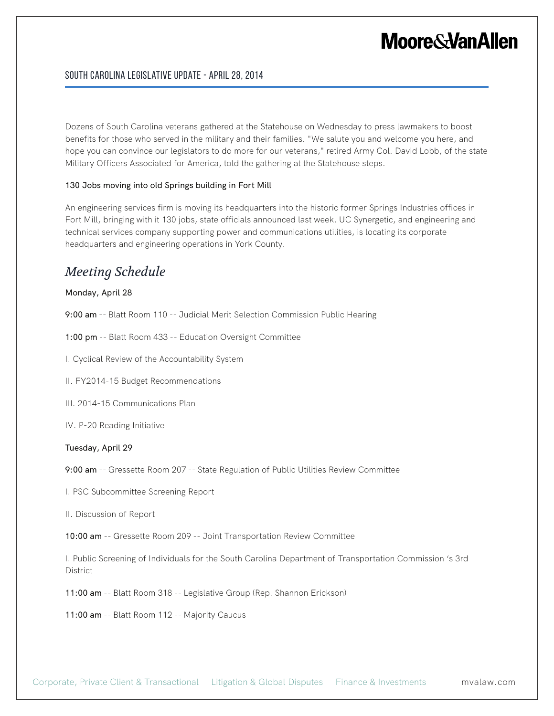## South Carolina Legislative Update - April 28, 2014

Dozens of South Carolina veterans gathered at the Statehouse on Wednesday to press lawmakers to boost benefits for those who served in the military and their families. "We salute you and welcome you here, and hope you can convince our legislators to do more for our veterans," retired Army Col. David Lobb, of the state Military Officers Associated for America, told the gathering at the Statehouse steps.

### 130 Jobs moving into old Springs building in Fort Mill

An engineering services firm is moving its headquarters into the historic former Springs Industries offices in Fort Mill, bringing with it 130 jobs, state officials announced last week. UC Synergetic, and engineering and technical services company supporting power and communications utilities, is locating its corporate headquarters and engineering operations in York County.

## *Meeting Schedule*

#### Monday, April 28

9:00 am -- Blatt Room 110 -- Judicial Merit Selection Commission Public Hearing

1:00 pm -- Blatt Room 433 -- Education Oversight Committee

I. Cyclical Review of the Accountability System

II. FY2014-15 Budget Recommendations

III. 2014-15 Communications Plan

IV. P-20 Reading Initiative

### Tuesday, April 29

9:00 am -- Gressette Room 207 -- State Regulation of Public Utilities Review Committee

I. PSC Subcommittee Screening Report

II. Discussion of Report

10:00 am -- Gressette Room 209 -- Joint Transportation Review Committee

I. Public Screening of Individuals for the South Carolina Department of Transportation Commission 's 3rd District

11:00 am -- Blatt Room 318 -- Legislative Group (Rep. Shannon Erickson)

11:00 am -- Blatt Room 112 -- Majority Caucus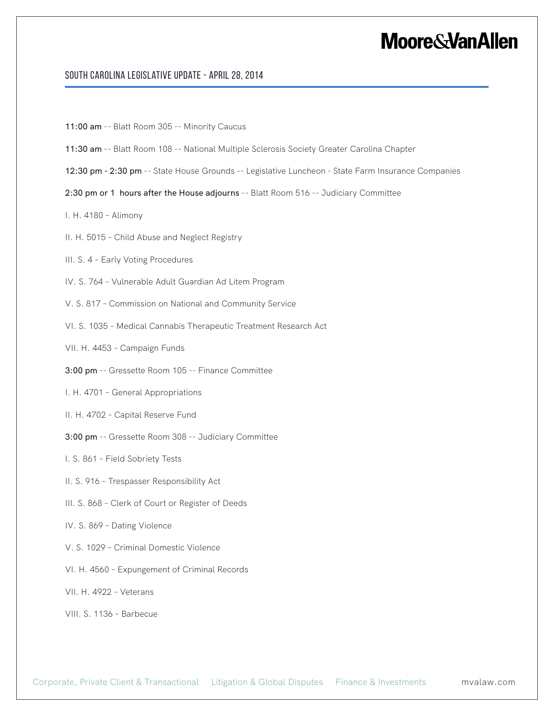## South Carolina Legislative Update - April 28, 2014

- 11:00 am -- Blatt Room 305 -- Minority Caucus
- 11:30 am -- Blatt Room 108 -- National Multiple Sclerosis Society Greater Carolina Chapter
- 12:30 pm 2:30 pm -- State House Grounds -- Legislative Luncheon State Farm Insurance Companies
- 2:30 pm or 1 hours after the House adjourns -- Blatt Room 516 -- Judiciary Committee
- I. H. 4180 Alimony
- II. H. 5015 Child Abuse and Neglect Registry
- III. S. 4 Early Voting Procedures
- IV. S. 764 Vulnerable Adult Guardian Ad Litem Program
- V. S. 817 Commission on National and Community Service
- VI. S. 1035 Medical Cannabis Therapeutic Treatment Research Act
- VII. H. 4453 Campaign Funds
- 3:00 pm -- Gressette Room 105 -- Finance Committee
- I. H. 4701 General Appropriations
- II. H. 4702 Capital Reserve Fund
- 3:00 pm -- Gressette Room 308 -- Judiciary Committee
- I. S. 861 Field Sobriety Tests
- II. S. 916 Trespasser Responsibility Act
- III. S. 868 Clerk of Court or Register of Deeds
- IV. S. 869 Dating Violence
- V. S. 1029 Criminal Domestic Violence
- VI. H. 4560 Expungement of Criminal Records
- VII. H. 4922 Veterans
- VIII. S. 1136 Barbecue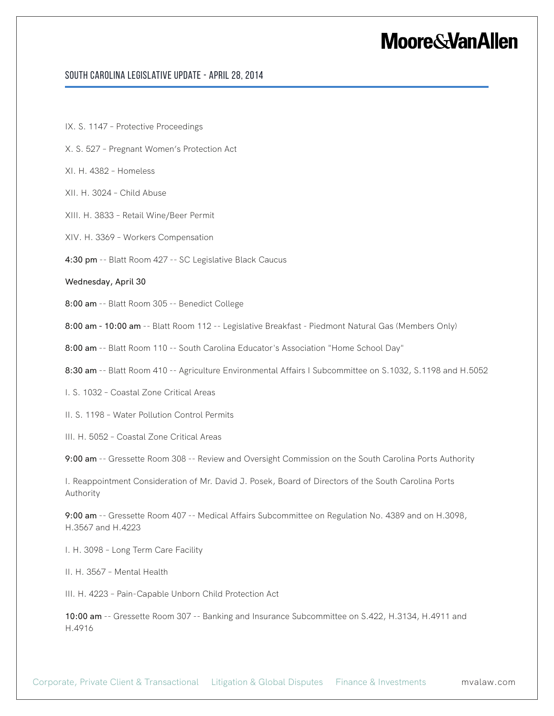### South Carolina Legislative Update - April 28, 2014

- IX. S. 1147 Protective Proceedings
- X. S. 527 Pregnant Women's Protection Act
- XI. H. 4382 Homeless
- XII. H. 3024 Child Abuse
- XIII. H. 3833 Retail Wine/Beer Permit
- XIV. H. 3369 Workers Compensation
- 4:30 pm -- Blatt Room 427 -- SC Legislative Black Caucus

#### Wednesday, April 30

8:00 am -- Blatt Room 305 -- Benedict College

8:00 am - 10:00 am -- Blatt Room 112 -- Legislative Breakfast - Piedmont Natural Gas (Members Only)

8:00 am -- Blatt Room 110 -- South Carolina Educator's Association "Home School Day"

8:30 am -- Blatt Room 410 -- Agriculture Environmental Affairs I Subcommittee on S.1032, S.1198 and H.5052

I. S. 1032 – Coastal Zone Critical Areas

II. S. 1198 – Water Pollution Control Permits

III. H. 5052 – Coastal Zone Critical Areas

9:00 am -- Gressette Room 308 -- Review and Oversight Commission on the South Carolina Ports Authority

I. Reappointment Consideration of Mr. David J. Posek, Board of Directors of the South Carolina Ports Authority

9:00 am -- Gressette Room 407 -- Medical Affairs Subcommittee on Regulation No. 4389 and on H.3098, H.3567 and H.4223

I. H. 3098 – Long Term Care Facility

II. H. 3567 – Mental Health

III. H. 4223 – Pain-Capable Unborn Child Protection Act

10:00 am -- Gressette Room 307 -- Banking and Insurance Subcommittee on S.422, H.3134, H.4911 and H.4916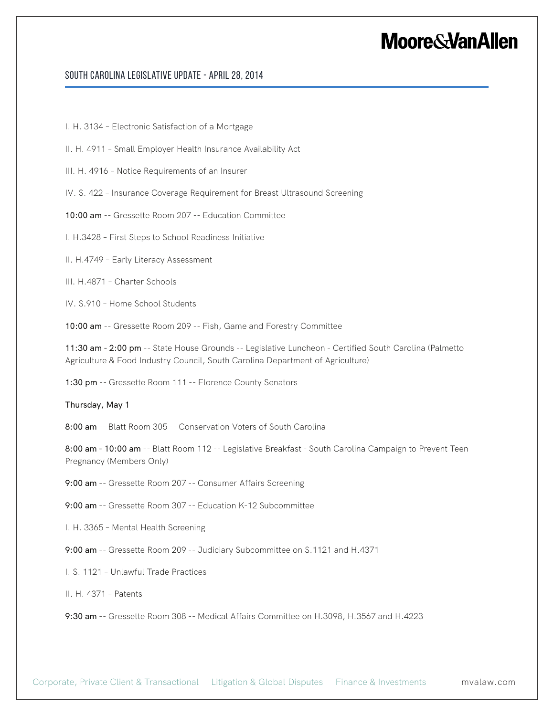## South Carolina Legislative Update - April 28, 2014

I. H. 3134 – Electronic Satisfaction of a Mortgage

II. H. 4911 – Small Employer Health Insurance Availability Act

III. H. 4916 – Notice Requirements of an Insurer

IV. S. 422 – Insurance Coverage Requirement for Breast Ultrasound Screening

10:00 am -- Gressette Room 207 -- Education Committee

I. H.3428 – First Steps to School Readiness Initiative

II. H.4749 – Early Literacy Assessment

III. H.4871 – Charter Schools

IV. S.910 – Home School Students

10:00 am -- Gressette Room 209 -- Fish, Game and Forestry Committee

11:30 am - 2:00 pm -- State House Grounds -- Legislative Luncheon - Certified South Carolina (Palmetto Agriculture & Food Industry Council, South Carolina Department of Agriculture)

1:30 pm -- Gressette Room 111 -- Florence County Senators

Thursday, May 1

8:00 am -- Blatt Room 305 -- Conservation Voters of South Carolina

8:00 am - 10:00 am -- Blatt Room 112 -- Legislative Breakfast - South Carolina Campaign to Prevent Teen Pregnancy (Members Only)

9:00 am -- Gressette Room 207 -- Consumer Affairs Screening

9:00 am -- Gressette Room 307 -- Education K-12 Subcommittee

I. H. 3365 – Mental Health Screening

9:00 am -- Gressette Room 209 -- Judiciary Subcommittee on S.1121 and H.4371

I. S. 1121 – Unlawful Trade Practices

II. H. 4371 – Patents

9:30 am -- Gressette Room 308 -- Medical Affairs Committee on H.3098, H.3567 and H.4223